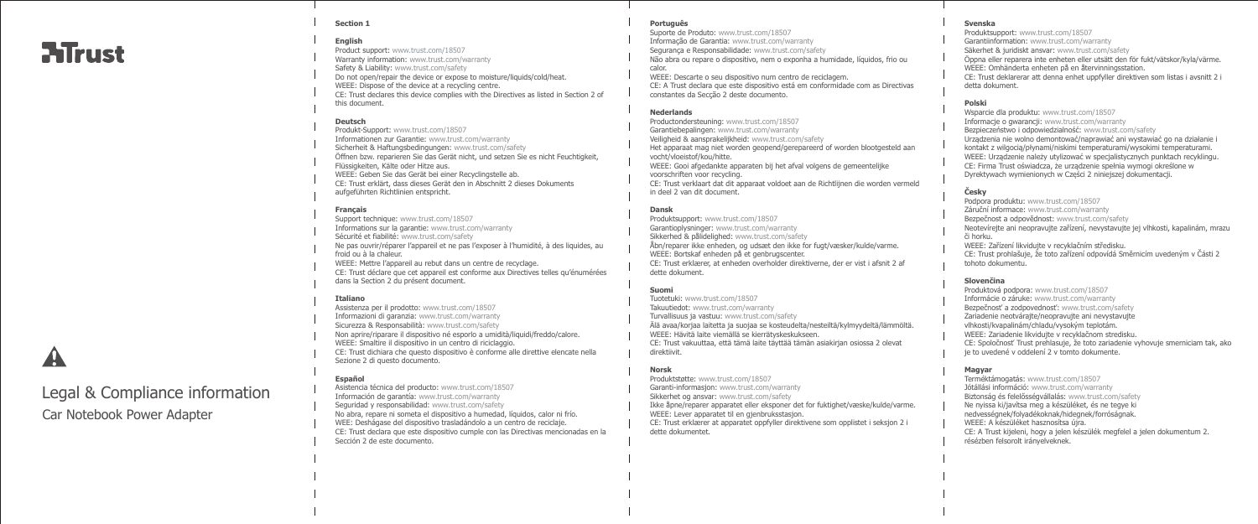## **ATrust**

### **Section 1**

### **English**

Product support: www.trust.com/18507 Warranty information: www.trust.com/warranty Safety & Liability: www.trust.com/safety Do not open/repair the device or expose to moisture/liquids/cold/heat. WEEE: Dispose of the device at a recycling centre. CE: Trust declares this device complies with the Directives as listed in Section 2 of this document.

### **Deutsch**

Produkt-Support: www.trust.com/18507 Informationen zur Garantie: www.trust.com/warranty Sicherheit & Haftungsbedingungen: www.trust.com/safety Öffnen bzw. reparieren Sie das Gerät nicht, und setzen Sie es nicht Feuchtigkeit, Flüssigkeiten, Kälte oder Hitze aus. WEEE: Geben Sie das Gerät bei einer Recyclingstelle ab. CE: Trust erklärt, dass dieses Gerät den in Abschnitt 2 dieses Dokuments aufgeführten Richtlinien entspricht.

### **Français**

Support technique: www.trust.com/18507 Informations sur la garantie: www.trust.com/warranty Sécurité et fiabilité: www.trust.com/safety Ne pas ouvrir/réparer l'appareil et ne pas l'exposer à l'humidité, à des liquides, au froid ou à la chaleur. WEEE: Mettre l'appareil au rebut dans un centre de recyclage. CE: Trust déclare que cet appareil est conforme aux Directives telles qu'énumérées dans la Section 2 du présent document.

### **Italiano**

Assistenza per il prodotto: www.trust.com/18507 Informazioni di garanzia: www.trust.com/warranty Sicurezza & Responsabilità: www.trust.com/safety Non aprire/riparare il dispositivo né esporlo a umidità/liquidi/freddo/calore. WEEE: Smaltire il dispositivo in un centro di riciclaggio. CE: Trust dichiara che questo dispositivo è conforme alle direttive elencate nella Sezione 2 di questo documento.

### **Español**

Asistencia técnica del producto: www.trust.com/18507 Información de garantía: www.trust.com/warranty Seguridad y responsabilidad: www.trust.com/safety No abra, repare ni someta el dispositivo a humedad, líquidos, calor ni frío. WEE: Deshágase del dispositivo trasladándolo a un centro de reciclaje. CE: Trust declara que este dispositivo cumple con las Directivas mencionadas en la Sección 2 de este documento.

### **Português**

Suporte de Produto: www.trust.com/18507 Informação de Garantia: www.trust.com/warranty Segurança e Responsabilidade: www.trust.com/safety Não abra ou repare o dispositivo, nem o exponha a humidade, líquidos, frio ou calor.

WEEE: Descarte o seu dispositivo num centro de reciclagem. CE: A Trust declara que este dispositivo está em conformidade com as Directivas constantes da Secção 2 deste documento.

### **Nederlands**

Productondersteuning: www.trust.com/18507

Garantiebepalingen: www.trust.com/warranty

- Veiligheid & aansprakelijkheid: www.trust.com/safety Het apparaat mag niet worden geopend/gerepareerd of worden blootgesteld aan vocht/vloeistof/kou/hitte.
- WEEE: Gooi afgedankte apparaten bij het afval volgens de gemeentelijke voorschriften voor recycling.
- CE: Trust verklaart dat dit apparaat voldoet aan de Richtlijnen die worden vermeld in deel 2 van dit document.

### **Dansk**

Produktsupport: www.trust.com/18507 Garantioplysninger: www.trust.com/warranty Sikkerhed & pålidelighed: www.trust.com/safety Åbn/reparer ikke enheden, og udsæt den ikke for fugt/væsker/kulde/varme. WEEE: Bortskaf enheden på et genbrugscenter. CE: Trust erklærer, at enheden overholder direktiverne, der er vist i afsnit 2 af dette dokument.

### **Suomi**

Tuotetuki: www.trust.com/18507 Takuutiedot: www.trust.com/warranty Turvallisuus ja vastuu: www.trust.com/safety Älä avaa/korjaa laitetta ja suojaa se kosteudelta/nesteiltä/kylmyydeltä/lämmöltä.

WEEE: Hävitä laite viemällä se kierrätyskeskukseen. CE: Trust vakuuttaa, että tämä laite täyttää tämän asiakirjan osiossa 2 olevat direktiivit.

### **Norsk**

Produktstøtte: www.trust.com/18507 Garanti-informasjon: www.trust.com/warranty

Sikkerhet og ansvar: www.trust.com/safety

Ikke åpne/reparer apparatet eller eksponer det for fuktighet/væske/kulde/varme. WEEE: Lever apparatet til en gjenbruksstasjon.

CE: Trust erklærer at apparatet oppfyller direktivene som opplistet i seksjon 2 i dette dokumentet.

### **Svenska**

Produktsupport: www.trust.com/18507 Garantiinformation: www.trust.com/warranty Säkerhet & juridiskt ansvar: www.trust.com/safety Öppna eller reparera inte enheten eller utsätt den för fukt/vätskor/kyla/värme. WEEE: Omhänderta enheten på en återvinningsstation. CE: Trust deklarerar att denna enhet uppfyller direktiven som listas i avsnitt 2 i detta dokument.

### **Polski**

Wsparcie dla produktu: www.trust.com/18507 Informacje o gwarancji: www.trust.com/warranty Bezpieczeństwo i odpowiedzialność: www.trust.com/safety Urządzenia nie wolno demontować/naprawiać ani wystawiać go na działanie i kontakt z wilgocią/płynami/niskimi temperaturami/wysokimi temperaturami. WEEE: Urządzenie należy utylizować w specjalistycznych punktach recyklingu. CE: Firma Trust oświadcza, że urządzenie spełnia wymogi określone w Dyrektywach wymienionych w Części 2 niniejszej dokumentacji.

### **Česky**

Podpora produktu: www.trust.com/18507 Záruční informace: www.trust.com/warranty Bezpečnost a odpovědnost: www.trust.com/safety Neotevírejte ani neopravujte zařízení, nevystavujte jej vlhkosti, kapalinám, mrazu či horku. WEEE: Zařízení likvidujte v recyklačním středisku. CE: Trust prohlašuje, že toto zařízení odpovídá Směrnicím uvedeným v Části 2 tohoto dokumentu.

### **Slovenčina**

Produktová podpora: www.trust.com/18507 Informácie o záruke: www.trust.com/warranty Bezpečnosť a zodpovednosť: www.trust.com/safety Zariadenie neotvárajte/neopravujte ani nevystavujte vlhkosti/kvapalinám/chladu/vysokým teplotám. WEEE: Zariadenie likvidujte v recyklačnom stredisku. CE: Spoločnosť Trust prehlasuje, že toto zariadenie vyhovuje smerniciam tak, ako je to uvedené v oddelení 2 v tomto dokumente.

### **Magyar**

Terméktámogatás: www.trust.com/18507 Jótállási információ: www.trust.com/warranty Biztonság és felelősségvállalás: www.trust.com/safety Ne nyissa ki/javítsa meg a készüléket, és ne tegye ki nedvességnek/folyadékoknak/hidegnek/forróságnak. WEEE: A készüléket hasznosítsa újra. CE: A Trust kijeleni, hogy a jelen készülék megfelel a jelen dokumentum 2. résézben felsorolt irányelveknek.

# Legal & Compliance information

Car Notebook Power Adapter